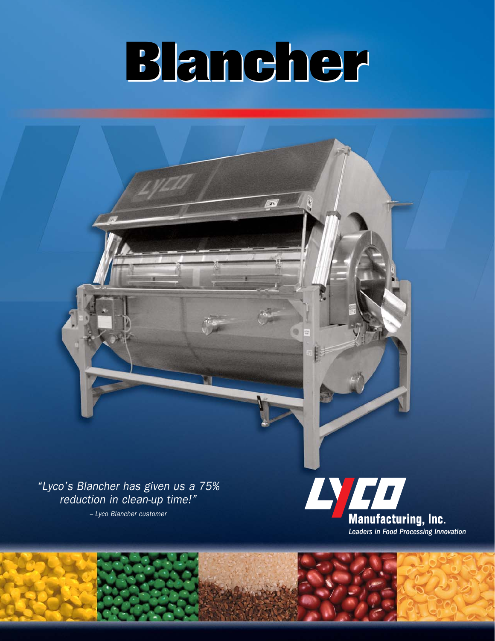# **Blancher Blancher**

 $\mathcal{F}_{\mathcal{N}}$ 

750

"Lyco's Blancher has given us a 75% reduction in clean-up time!"

– Lyco Blancher customer